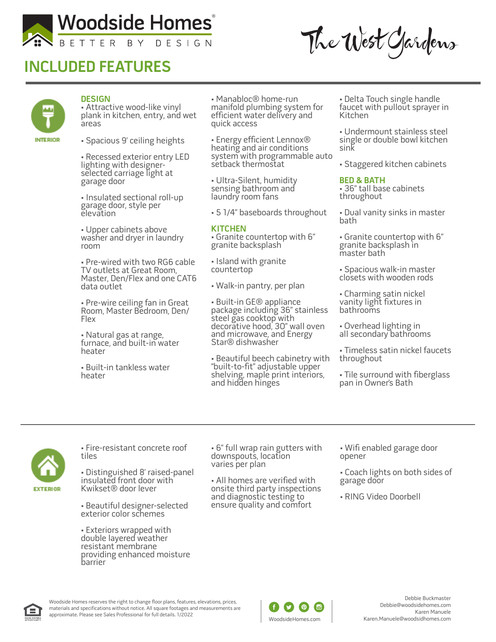

# **INCLUDED FEATURES**

The West Gardens



### **DESIGN**

• Attractive wood-like vinyl plank in kitchen, entry, and wet areas

• Spacious 9' ceiling heights

• Recessed exterior entry LED lighting with designerselected carriage light at garage door

• Insulated sectional roll-up garage door, style per elevation

• Upper cabinets above washer and dryer in laundry room

• Pre-wired with two RG6 cable TV outlets at Great Room, Master, Den/Flex and one CAT6 data outlet

• Pre-wire ceiling fan in Great Room, Master Bedroom, Den/ Flex

• Natural gas at range, furnace, and built-in water heater

• Built-in tankless water heater

• Manabloc® home-run manifold plumbing system for efficient water delivery and quick access

• Energy efficient Lennox® heating and air conditions system with programmable auto setback thermostat

• Ultra-Silent, humidity sensing bathroom and laundry room fans

• 5 1/4" baseboards throughout

### **KITCHEN**

• Granite countertop with 6" granite backsplash

• Island with granite countertop

• Walk-in pantry, per plan

• Built-in GE® appliance package including 36" stainless steel gas cooktop with decorative hood, 30" wall oven and microwave, and Energy<br>Star® dishwasher

• Beautiful beech cabinetry with "built-to-fit" adjustable upper shelving, maple print interiors, and hidden hinges

• Delta Touch single handle faucet with pullout sprayer in Kitchen

• Undermount stainless steel single or double bowl kitchen sink

• Staggered kitchen cabinets

#### **BED & BATH**

• 36" tall base cabinets throughout

• Dual vanity sinks in master bath

• Granite countertop with 6" granite backsplash in master bath

• Spacious walk-in master closets with wooden rods

• Charming satin nickel vanity light fixtures in bathrooms

• Overhead lighting in all secondary bathrooms

• Timeless satin nickel faucets throughout

• Tile surround with fiberglass pan in Owner's Bath



• Fire-resistant concrete roof tiles

• Distinguished 8' raised-panel insulated front door with Kwikset® door lever

• Beautiful designer-selected exterior color schemes

• Exteriors wrapped with double layered weather resistant membrane providing enhanced moisture barrier

• 6" full wrap rain gutters with downspouts, location varies per plan

• All homes are verified with onsite third party inspections and diagnostic testing to ensure quality and comfort

• Wifi enabled garage door opener

• Coach lights on both sides of garage door

• RING Video Doorbell